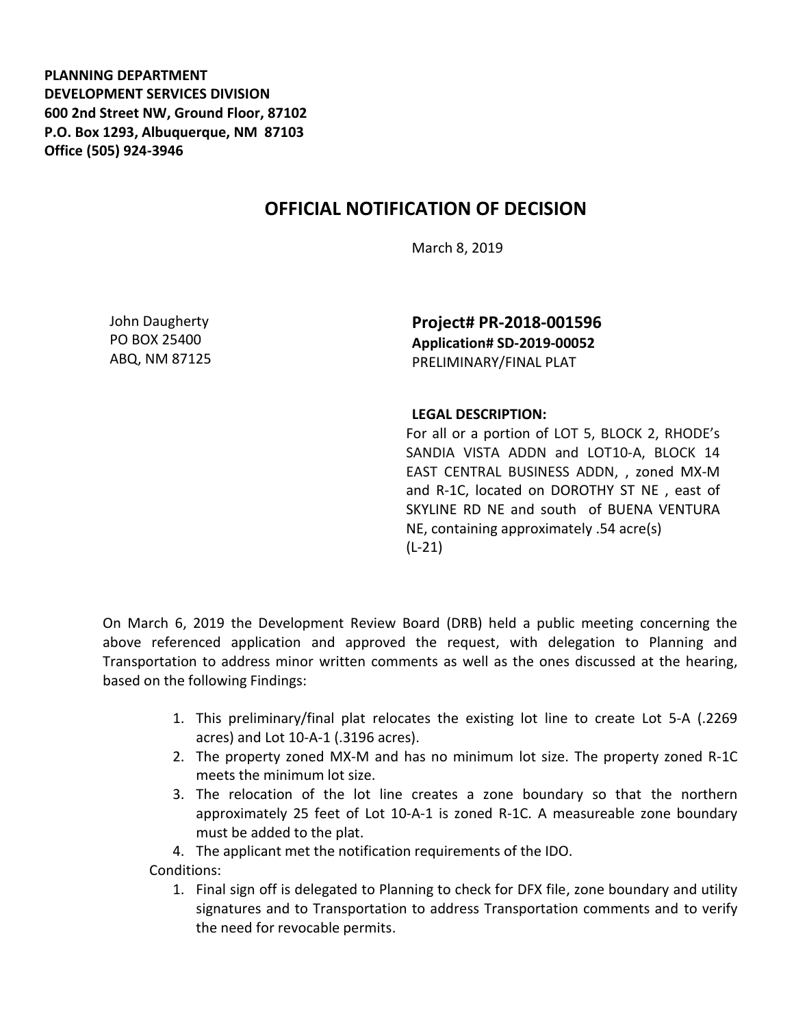**PLANNING DEPARTMENT DEVELOPMENT SERVICES DIVISION 600 2nd Street NW, Ground Floor, 87102 P.O. Box 1293, Albuquerque, NM 87103 Office (505) 924-3946** 

## **OFFICIAL NOTIFICATION OF DECISION**

March 8, 2019

John Daugherty PO BOX 25400 ABQ, NM 87125

**Project# PR-2018-001596 Application# SD-2019-00052** PRELIMINARY/FINAL PLAT

## **LEGAL DESCRIPTION:**

For all or a portion of LOT 5, BLOCK 2, RHODE's SANDIA VISTA ADDN and LOT10-A, BLOCK 14 EAST CENTRAL BUSINESS ADDN, , zoned MX-M and R-1C, located on DOROTHY ST NE , east of SKYLINE RD NE and south of BUENA VENTURA NE, containing approximately .54 acre(s) (L-21)

On March 6, 2019 the Development Review Board (DRB) held a public meeting concerning the above referenced application and approved the request, with delegation to Planning and Transportation to address minor written comments as well as the ones discussed at the hearing, based on the following Findings:

- 1. This preliminary/final plat relocates the existing lot line to create Lot 5-A (.2269 acres) and Lot 10-A-1 (.3196 acres).
- 2. The property zoned MX-M and has no minimum lot size. The property zoned R-1C meets the minimum lot size.
- 3. The relocation of the lot line creates a zone boundary so that the northern approximately 25 feet of Lot 10-A-1 is zoned R-1C. A measureable zone boundary must be added to the plat.
- 4. The applicant met the notification requirements of the IDO.

Conditions:

1. Final sign off is delegated to Planning to check for DFX file, zone boundary and utility signatures and to Transportation to address Transportation comments and to verify the need for revocable permits.